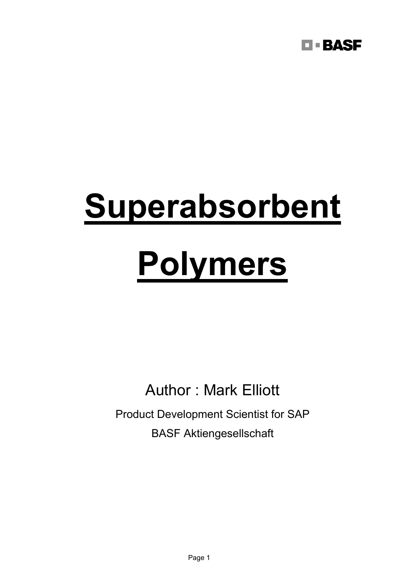

# **Superabsorbent**

## **Polymers**

Author : Mark Elliott

Product Development Scientist for SAP BASF Aktiengesellschaft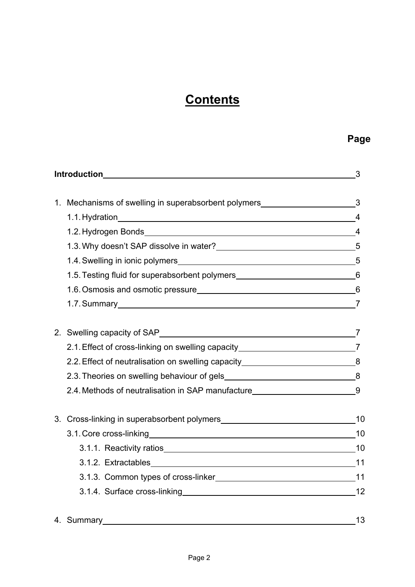## **Contents**

| <b>Introduction Exercise 2008</b> |                                                                                    | 3              |
|-----------------------------------|------------------------------------------------------------------------------------|----------------|
|                                   |                                                                                    |                |
|                                   | 1. Mechanisms of swelling in superabsorbent polymers____________________________3  |                |
|                                   |                                                                                    |                |
|                                   |                                                                                    | $\overline{4}$ |
|                                   | 1.3. Why doesn't SAP dissolve in water?<br>5                                       |                |
|                                   |                                                                                    |                |
|                                   | 1.5. Testing fluid for superabsorbent polymers__________________________________6  |                |
|                                   | 1.6. Osmosis and osmotic pressure<br>6                                             |                |
|                                   | 1.7. Summary 7                                                                     |                |
|                                   |                                                                                    |                |
|                                   |                                                                                    |                |
|                                   | 2.1. Effect of cross-linking on swelling capacity _______________________________7 |                |
|                                   | 2.2. Effect of neutralisation on swelling capacity______________________________8  |                |
|                                   |                                                                                    |                |
|                                   | 2.4. Methods of neutralisation in SAP manufacture_______________________________9  |                |
|                                   |                                                                                    |                |
|                                   |                                                                                    |                |
|                                   | 3.1. Core cross-linking 10                                                         |                |
|                                   | 3.1.1. Reactivity ratios 10                                                        |                |
|                                   |                                                                                    |                |
|                                   |                                                                                    |                |
|                                   |                                                                                    |                |
|                                   |                                                                                    |                |

## 4. Summary 13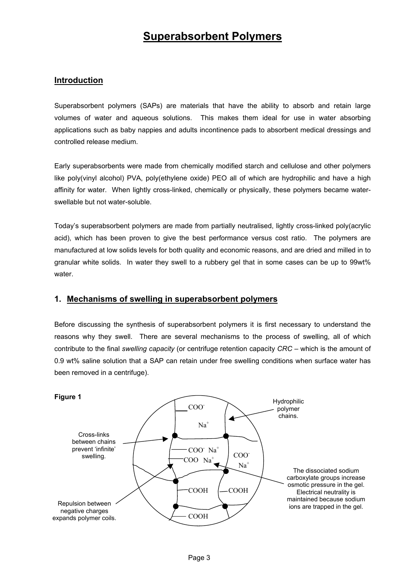### **Superabsorbent Polymers**

#### **Introduction**

Superabsorbent polymers (SAPs) are materials that have the ability to absorb and retain large volumes of water and aqueous solutions. This makes them ideal for use in water absorbing applications such as baby nappies and adults incontinence pads to absorbent medical dressings and controlled release medium.

Early superabsorbents were made from chemically modified starch and cellulose and other polymers like poly(vinyl alcohol) PVA, poly(ethylene oxide) PEO all of which are hydrophilic and have a high affinity for water. When lightly cross-linked, chemically or physically, these polymers became waterswellable but not water-soluble.

Today's superabsorbent polymers are made from partially neutralised, lightly cross-linked poly(acrylic acid), which has been proven to give the best performance versus cost ratio. The polymers are manufactured at low solids levels for both quality and economic reasons, and are dried and milled in to granular white solids. In water they swell to a rubbery gel that in some cases can be up to 99wt% water.

#### **1. Mechanisms of swelling in superabsorbent polymers**

Before discussing the synthesis of superabsorbent polymers it is first necessary to understand the reasons why they swell. There are several mechanisms to the process of swelling, all of which contribute to the final *swelling capacity* (or centrifuge retention capacity *CRC* – which is the amount of 0.9 wt% saline solution that a SAP can retain under free swelling conditions when surface water has been removed in a centrifuge).

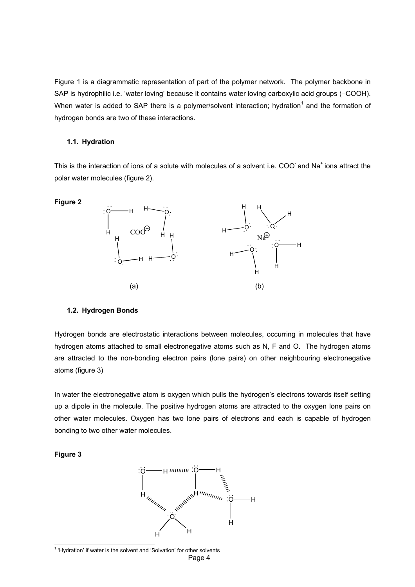Figure 1 is a diagrammatic representation of part of the polymer network. The polymer backbone in SAP is hydrophilic i.e. 'water loving' because it contains water loving carboxylic acid groups (–COOH). When water is added to SAP there is a polymer/solvent interaction; hydration<sup>1</sup> and the formation of hydrogen bonds are two of these interactions.

#### **1.1. Hydration**

This is the interaction of ions of a solute with molecules of a solvent i.e. COO and Na<sup>+</sup> ions attract the polar water molecules (figure 2).



#### **1.2. Hydrogen Bonds**

Hydrogen bonds are electrostatic interactions between molecules, occurring in molecules that have hydrogen atoms attached to small electronegative atoms such as N, F and O. The hydrogen atoms are attracted to the non-bonding electron pairs (lone pairs) on other neighbouring electronegative atoms (figure 3)

In water the electronegative atom is oxygen which pulls the hydrogen's electrons towards itself setting up a dipole in the molecule. The positive hydrogen atoms are attracted to the oxygen lone pairs on other water molecules. Oxygen has two lone pairs of electrons and each is capable of hydrogen bonding to two other water molecules.

#### **Figure 3**



<span id="page-3-0"></span>Page 4  $\frac{1}{1}$  $<sup>1</sup>$  'Hydration' if water is the solvent and 'Solvation' for other solvents</sup>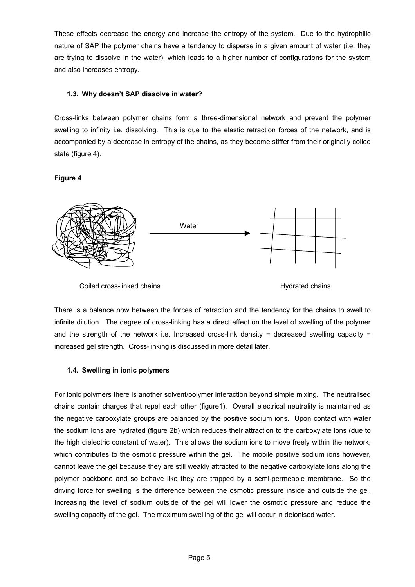These effects decrease the energy and increase the entropy of the system. Due to the hydrophilic nature of SAP the polymer chains have a tendency to disperse in a given amount of water (i.e. they are trying to dissolve in the water), which leads to a higher number of configurations for the system and also increases entropy.

#### **1.3. Why doesn't SAP dissolve in water?**

Cross-links between polymer chains form a three-dimensional network and prevent the polymer swelling to infinity i.e. dissolving. This is due to the elastic retraction forces of the network, and is accompanied by a decrease in entropy of the chains, as they become stiffer from their originally coiled state (figure 4).

#### **Figure 4**



There is a balance now between the forces of retraction and the tendency for the chains to swell to infinite dilution. The degree of cross-linking has a direct effect on the level of swelling of the polymer and the strength of the network i.e. Increased cross-link density = decreased swelling capacity = increased gel strength. Cross-linking is discussed in more detail later.

#### **1.4. Swelling in ionic polymers**

For ionic polymers there is another solvent/polymer interaction beyond simple mixing. The neutralised chains contain charges that repel each other (figure1). Overall electrical neutrality is maintained as the negative carboxylate groups are balanced by the positive sodium ions. Upon contact with water the sodium ions are hydrated (figure 2b) which reduces their attraction to the carboxylate ions (due to the high dielectric constant of water). This allows the sodium ions to move freely within the network, which contributes to the osmotic pressure within the gel. The mobile positive sodium ions however, cannot leave the gel because they are still weakly attracted to the negative carboxylate ions along the polymer backbone and so behave like they are trapped by a semi-permeable membrane. So the driving force for swelling is the difference between the osmotic pressure inside and outside the gel. Increasing the level of sodium outside of the gel will lower the osmotic pressure and reduce the swelling capacity of the gel. The maximum swelling of the gel will occur in deionised water.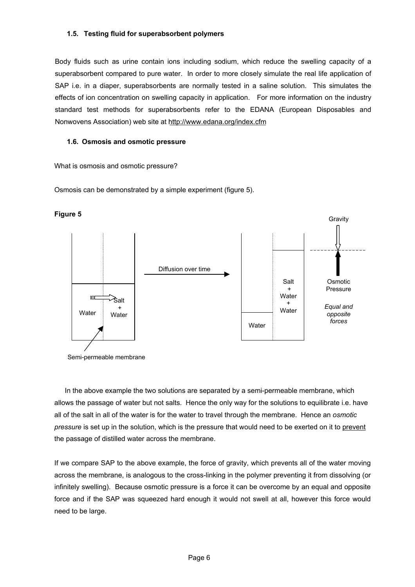#### **1.5. Testing fluid for superabsorbent polymers**

Body fluids such as urine contain ions including sodium, which reduce the swelling capacity of a superabsorbent compared to pure water. In order to more closely simulate the real life application of SAP i.e. in a diaper, superabsorbents are normally tested in a saline solution. This simulates the effects of ion concentration on swelling capacity in application. For more information on the industry standard test methods for superabsorbents refer to the EDANA (European Disposables and Nonwovens Association) web site at <http://www.edana.org/index.cfm>

#### **1.6. Osmosis and osmotic pressure**

What is osmosis and osmotic pressure?

Osmosis can be demonstrated by a simple experiment (figure 5).



Semi-permeable membrane

 In the above example the two solutions are separated by a semi-permeable membrane, which allows the passage of water but not salts. Hence the only way for the solutions to equilibrate i.e. have all of the salt in all of the water is for the water to travel through the membrane. Hence an *osmotic pressure* is set up in the solution, which is the pressure that would need to be exerted on it to prevent the passage of distilled water across the membrane.

If we compare SAP to the above example, the force of gravity, which prevents all of the water moving across the membrane, is analogous to the cross-linking in the polymer preventing it from dissolving (or infinitely swelling). Because osmotic pressure is a force it can be overcome by an equal and opposite force and if the SAP was squeezed hard enough it would not swell at all, however this force would need to be large.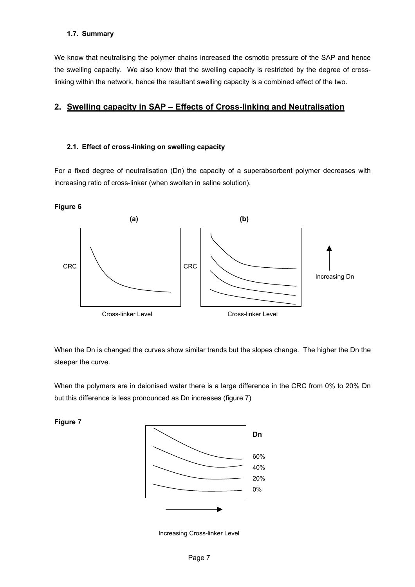#### **1.7. Summary**

We know that neutralising the polymer chains increased the osmotic pressure of the SAP and hence the swelling capacity. We also know that the swelling capacity is restricted by the degree of crosslinking within the network, hence the resultant swelling capacity is a combined effect of the two.

### **2. Swelling capacity in SAP – Effects of Cross-linking and Neutralisation**

#### **2.1. Effect of cross-linking on swelling capacity**

For a fixed degree of neutralisation (Dn) the capacity of a superabsorbent polymer decreases with increasing ratio of cross-linker (when swollen in saline solution).



When the Dn is changed the curves show similar trends but the slopes change. The higher the Dn the steeper the curve.

When the polymers are in deionised water there is a large difference in the CRC from 0% to 20% Dn but this difference is less pronounced as Dn increases (figure 7)

**Figure 7** 



Increasing Cross-linker Level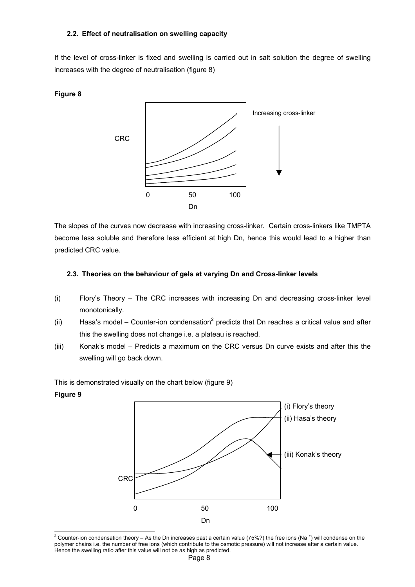#### **2.2. Effect of neutralisation on swelling capacity**

If the level of cross-linker is fixed and swelling is carried out in salt solution the degree of swelling increases with the degree of neutralisation (figure 8)

#### **Figure 8**



The slopes of the curves now decrease with increasing cross-linker. Certain cross-linkers like TMPTA become less soluble and therefore less efficient at high Dn, hence this would lead to a higher than predicted CRC value.

#### **2.3. Theories on the behaviour of gels at varying Dn and Cross-linker levels**

- (i) Flory's Theory The CRC increases with increasing Dn and decreasing cross-linker level monotonically.
- (ii) Hasa's model Counter-ion condensation<sup>[2](#page-7-0)</sup> predicts that Dn reaches a critical value and after this the swelling does not change i.e. a plateau is reached.
- (iii) Konak's model Predicts a maximum on the CRC versus Dn curve exists and after this the swelling will go back down.

This is demonstrated visually on the chart below (figure 9)

#### **Figure 9**



<span id="page-7-0"></span>l <sup>2</sup> Counter-ion condensation theory – As the Dn increases past a certain value (75%?) the free ions (Na  $^+$ ) will condense on the polymer chains i.e. the number of free ions (which contribute to the osmotic pressure) will not increase after a certain value. Hence the swelling ratio after this value will not be as high as predicted.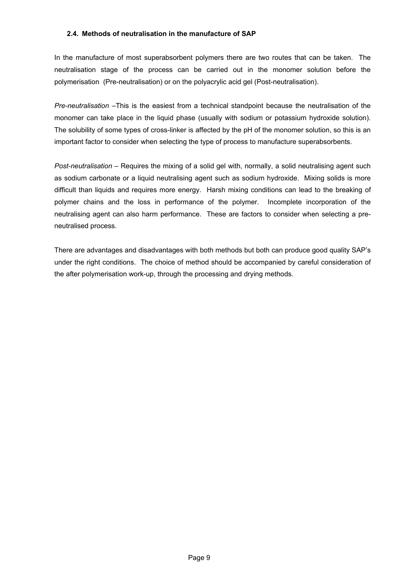#### **2.4. Methods of neutralisation in the manufacture of SAP**

In the manufacture of most superabsorbent polymers there are two routes that can be taken. The neutralisation stage of the process can be carried out in the monomer solution before the polymerisation (Pre-neutralisation) or on the polyacrylic acid gel (Post-neutralisation).

*Pre-neutralisation* –This is the easiest from a technical standpoint because the neutralisation of the monomer can take place in the liquid phase (usually with sodium or potassium hydroxide solution). The solubility of some types of cross-linker is affected by the pH of the monomer solution, so this is an important factor to consider when selecting the type of process to manufacture superabsorbents.

*Post-neutralisation –* Requires the mixing of a solid gel with, normally, a solid neutralising agent such as sodium carbonate or a liquid neutralising agent such as sodium hydroxide. Mixing solids is more difficult than liquids and requires more energy. Harsh mixing conditions can lead to the breaking of polymer chains and the loss in performance of the polymer. Incomplete incorporation of the neutralising agent can also harm performance. These are factors to consider when selecting a preneutralised process.

There are advantages and disadvantages with both methods but both can produce good quality SAP's under the right conditions. The choice of method should be accompanied by careful consideration of the after polymerisation work-up, through the processing and drying methods.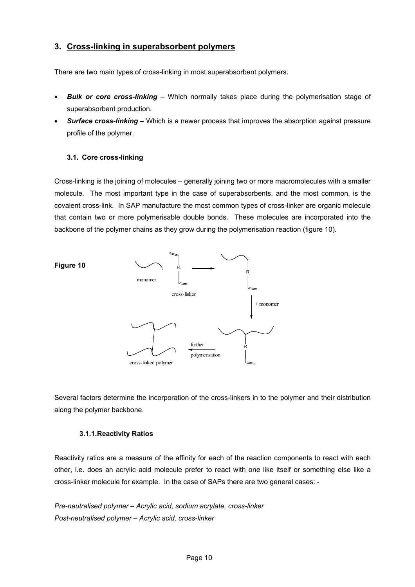### **3. Cross-linking in superabsorbent polymers**

There are two main types of cross-linking in most superabsorbent polymers.

- *Bulk or core cross-linking*  Which normally takes place during the polymerisation stage of superabsorbent production.
- *Surface cross-linking* Which is a newer process that improves the absorption against pressure profile of the polymer.

#### **3.1. Core cross-linking**

Cross-linking is the joining of molecules – generally joining two or more macromolecules with a smaller molecule. The most important type in the case of superabsorbents, and the most common, is the covalent cross-link. In SAP manufacture the most common types of cross-linker are organic molecule that contain two or more polymerisable double bonds. These molecules are incorporated into the backbone of the polymer chains as they grow during the polymerisation reaction (figure 10).



Several factors determine the incorporation of the cross-linkers in to the polymer and their distribution along the polymer backbone.

#### **3.1.1. Reactivity Ratios**

Reactivity ratios are a measure of the affinity for each of the reaction components to react with each other, i.e. does an acrylic acid molecule prefer to react with one like itself or something else like a cross-linker molecule for example. In the case of SAPs there are two general cases: -

*Pre-neutralised polymer – Acrylic acid, sodium acrylate, cross-linker Post-neutralised polymer – Acrylic acid, cross-linker*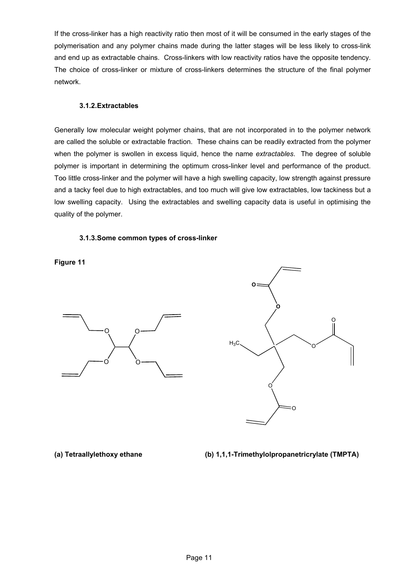If the cross-linker has a high reactivity ratio then most of it will be consumed in the early stages of the polymerisation and any polymer chains made during the latter stages will be less likely to cross-link and end up as extractable chains. Cross-linkers with low reactivity ratios have the opposite tendency. The choice of cross-linker or mixture of cross-linkers determines the structure of the final polymer network.

#### **3.1.2. Extractables**

Generally low molecular weight polymer chains, that are not incorporated in to the polymer network are called the soluble or extractable fraction. These chains can be readily extracted from the polymer when the polymer is swollen in excess liquid, hence the name *extractables*. The degree of soluble polymer is important in determining the optimum cross-linker level and performance of the product. Too little cross-linker and the polymer will have a high swelling capacity, low strength against pressure and a tacky feel due to high extractables, and too much will give low extractables, low tackiness but a low swelling capacity. Using the extractables and swelling capacity data is useful in optimising the quality of the polymer.

#### **3.1.3. Some common types of cross-linker**

**Figure 11** 





**(a) Tetraallylethoxy ethane (b) 1,1,1-Trimethylolpropanetricrylate (TMPTA)**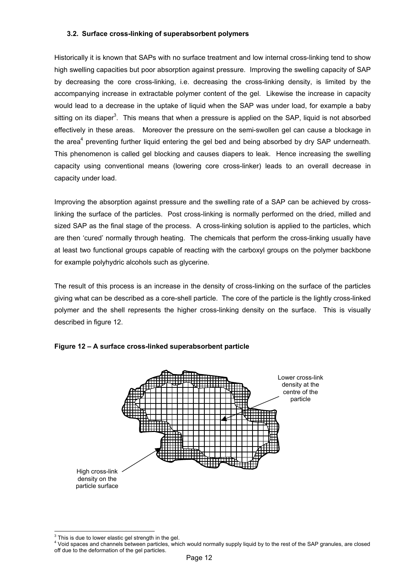#### **3.2. Surface cross-linking of superabsorbent polymers**

Historically it is known that SAPs with no surface treatment and low internal cross-linking tend to show high swelling capacities but poor absorption against pressure. Improving the swelling capacity of SAP by decreasing the core cross-linking, i.e. decreasing the cross-linking density, is limited by the accompanying increase in extractable polymer content of the gel. Likewise the increase in capacity would lead to a decrease in the uptake of liquid when the SAP was under load, for example a baby sitting on its diaper<sup>3</sup>[.](#page-11-0) This means that when a pressure is applied on the SAP, liquid is not absorbed effectively in these areas. Moreover the pressure on the semi-swollen gel can cause a blockage in the area<sup>[4](#page-11-1)</sup> preventing further liquid entering the gel bed and being absorbed by dry SAP underneath. This phenomenon is called gel blocking and causes diapers to leak. Hence increasing the swelling capacity using conventional means (lowering core cross-linker) leads to an overall decrease in capacity under load.

Improving the absorption against pressure and the swelling rate of a SAP can be achieved by crosslinking the surface of the particles. Post cross-linking is normally performed on the dried, milled and sized SAP as the final stage of the process. A cross-linking solution is applied to the particles, which are then 'cured' normally through heating. The chemicals that perform the cross-linking usually have at least two functional groups capable of reacting with the carboxyl groups on the polymer backbone for example polyhydric alcohols such as glycerine.

The result of this process is an increase in the density of cross-linking on the surface of the particles giving what can be described as a core-shell particle. The core of the particle is the lightly cross-linked polymer and the shell represents the higher cross-linking density on the surface. This is visually described in figure 12.





<sup>-&</sup>lt;br>3  $3$  This is due to lower elastic gel strength in the gel.

<span id="page-11-1"></span><span id="page-11-0"></span><sup>4</sup> Void spaces and channels between particles, which would normally supply liquid by to the rest of the SAP granules, are closed off due to the deformation of the gel particles.